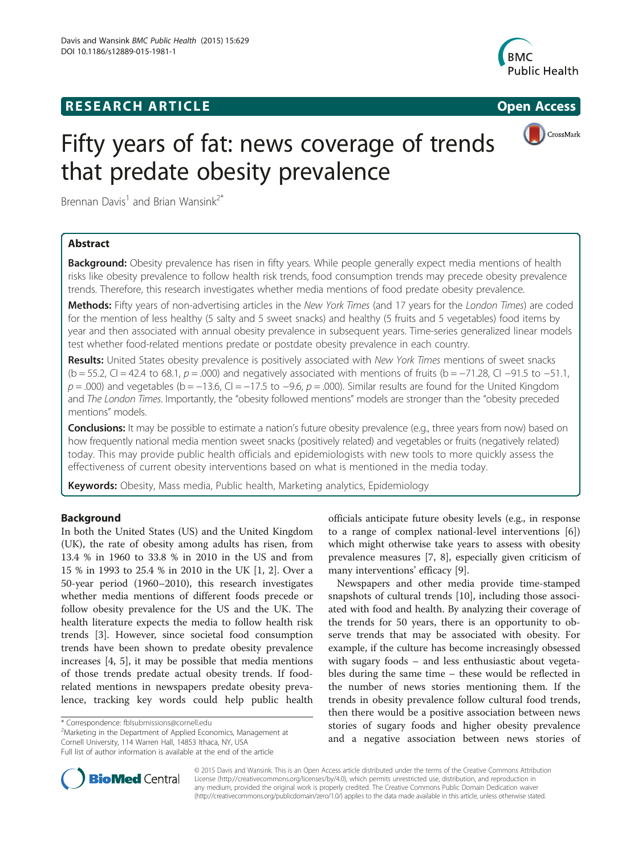# **RESEARCH ARTICLE Example 2018 12:00 Open Access**





# Fifty years of fat: news coverage of trends that predate obesity prevalence

Brennan Davis<sup>1</sup> and Brian Wansink<sup>2\*</sup>

# Abstract

Background: Obesity prevalence has risen in fifty years. While people generally expect media mentions of health risks like obesity prevalence to follow health risk trends, food consumption trends may precede obesity prevalence trends. Therefore, this research investigates whether media mentions of food predate obesity prevalence.

Methods: Fifty years of non-advertising articles in the New York Times (and 17 years for the London Times) are coded for the mention of less healthy (5 salty and 5 sweet snacks) and healthy (5 fruits and 5 vegetables) food items by year and then associated with annual obesity prevalence in subsequent years. Time-series generalized linear models test whether food-related mentions predate or postdate obesity prevalence in each country.

Results: United States obesity prevalence is positively associated with New York Times mentions of sweet snacks  $(b = 55.2, C = 42.4$  to 68.1,  $p = .000$ ) and negatively associated with mentions of fruits (b = −71.28, CI −91.5 to −51.1,  $p = .000$ ) and vegetables (b = −13.6, CI = −17.5 to −9.6,  $p = .000$ ). Similar results are found for the United Kingdom and The London Times. Importantly, the "obesity followed mentions" models are stronger than the "obesity preceded mentions" models.

**Conclusions:** It may be possible to estimate a nation's future obesity prevalence (e.g., three years from now) based on how frequently national media mention sweet snacks (positively related) and vegetables or fruits (negatively related) today. This may provide public health officials and epidemiologists with new tools to more quickly assess the effectiveness of current obesity interventions based on what is mentioned in the media today.

Keywords: Obesity, Mass media, Public health, Marketing analytics, Epidemiology

# Background

In both the United States (US) and the United Kingdom (UK), the rate of obesity among adults has risen, from 13.4 % in 1960 to 33.8 % in 2010 in the US and from 15 % in 1993 to 25.4 % in 2010 in the UK [[1](#page-5-0), [2\]](#page-5-0). Over a 50-year period (1960–2010), this research investigates whether media mentions of different foods precede or follow obesity prevalence for the US and the UK. The health literature expects the media to follow health risk trends [\[3](#page-5-0)]. However, since societal food consumption trends have been shown to predate obesity prevalence increases [\[4](#page-5-0), [5](#page-5-0)], it may be possible that media mentions of those trends predate actual obesity trends. If foodrelated mentions in newspapers predate obesity prevalence, tracking key words could help public health

<sup>2</sup>Marketing in the Department of Applied Economics, Management at Cornell University, 114 Warren Hall, 14853 Ithaca, NY, USA

officials anticipate future obesity levels (e.g., in response to a range of complex national-level interventions [\[6](#page-5-0)]) which might otherwise take years to assess with obesity prevalence measures [\[7](#page-5-0), [8\]](#page-5-0), especially given criticism of many interventions' efficacy [\[9](#page-5-0)].

Newspapers and other media provide time-stamped snapshots of cultural trends [\[10\]](#page-5-0), including those associated with food and health. By analyzing their coverage of the trends for 50 years, there is an opportunity to observe trends that may be associated with obesity. For example, if the culture has become increasingly obsessed with sugary foods – and less enthusiastic about vegetables during the same time – these would be reflected in the number of news stories mentioning them. If the trends in obesity prevalence follow cultural food trends, then there would be a positive association between news stories of sugary foods and higher obesity prevalence and a negative association between news stories of



© 2015 Davis and Wansink. This is an Open Access article distributed under the terms of the Creative Commons Attribution License (<http://creativecommons.org/licenses/by/4.0>), which permits unrestricted use, distribution, and reproduction in any medium, provided the original work is properly credited. The Creative Commons Public Domain Dedication waiver [\(http://creativecommons.org/publicdomain/zero/1.0/](http://creativecommons.org/publicdomain/zero/1.0/)) applies to the data made available in this article, unless otherwise stated.

<sup>\*</sup> Correspondence: [fblsubmissions@cornell.edu](mailto:fblsubmissions@cornell.edu) <sup>2</sup>

Full list of author information is available at the end of the article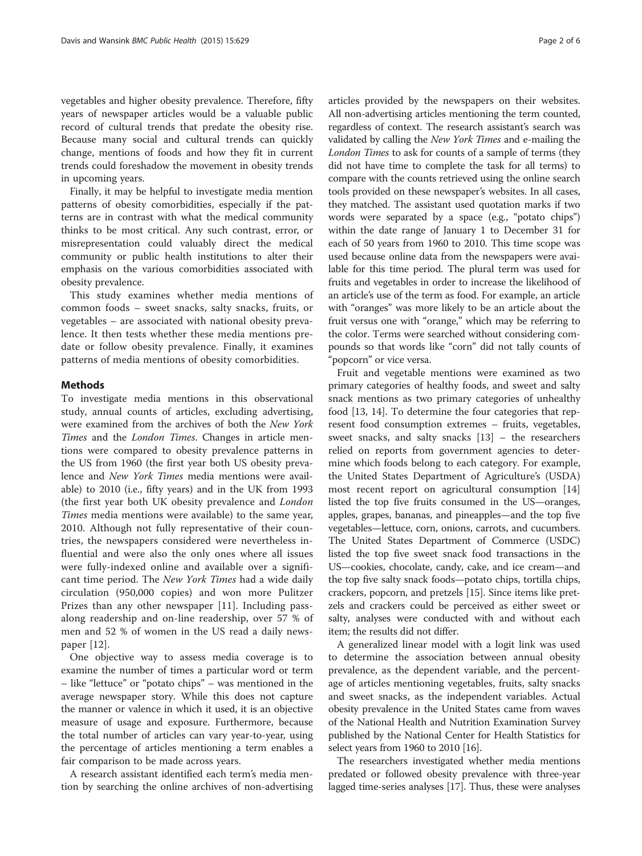vegetables and higher obesity prevalence. Therefore, fifty years of newspaper articles would be a valuable public record of cultural trends that predate the obesity rise. Because many social and cultural trends can quickly change, mentions of foods and how they fit in current trends could foreshadow the movement in obesity trends in upcoming years.

Finally, it may be helpful to investigate media mention patterns of obesity comorbidities, especially if the patterns are in contrast with what the medical community thinks to be most critical. Any such contrast, error, or misrepresentation could valuably direct the medical community or public health institutions to alter their emphasis on the various comorbidities associated with obesity prevalence.

This study examines whether media mentions of common foods – sweet snacks, salty snacks, fruits, or vegetables – are associated with national obesity prevalence. It then tests whether these media mentions predate or follow obesity prevalence. Finally, it examines patterns of media mentions of obesity comorbidities.

### Methods

To investigate media mentions in this observational study, annual counts of articles, excluding advertising, were examined from the archives of both the New York Times and the London Times. Changes in article mentions were compared to obesity prevalence patterns in the US from 1960 (the first year both US obesity prevalence and New York Times media mentions were available) to 2010 (i.e., fifty years) and in the UK from 1993 (the first year both UK obesity prevalence and London Times media mentions were available) to the same year, 2010. Although not fully representative of their countries, the newspapers considered were nevertheless influential and were also the only ones where all issues were fully-indexed online and available over a significant time period. The New York Times had a wide daily circulation (950,000 copies) and won more Pulitzer Prizes than any other newspaper [\[11](#page-5-0)]. Including passalong readership and on-line readership, over 57 % of men and 52 % of women in the US read a daily newspaper [\[12](#page-5-0)].

One objective way to assess media coverage is to examine the number of times a particular word or term – like "lettuce" or "potato chips" – was mentioned in the average newspaper story. While this does not capture the manner or valence in which it used, it is an objective measure of usage and exposure. Furthermore, because the total number of articles can vary year-to-year, using the percentage of articles mentioning a term enables a fair comparison to be made across years.

A research assistant identified each term's media mention by searching the online archives of non-advertising

articles provided by the newspapers on their websites. All non-advertising articles mentioning the term counted, regardless of context. The research assistant's search was validated by calling the New York Times and e-mailing the London Times to ask for counts of a sample of terms (they did not have time to complete the task for all terms) to compare with the counts retrieved using the online search tools provided on these newspaper's websites. In all cases, they matched. The assistant used quotation marks if two words were separated by a space (e.g., "potato chips") within the date range of January 1 to December 31 for each of 50 years from 1960 to 2010. This time scope was used because online data from the newspapers were available for this time period. The plural term was used for fruits and vegetables in order to increase the likelihood of an article's use of the term as food. For example, an article with "oranges" was more likely to be an article about the fruit versus one with "orange," which may be referring to the color. Terms were searched without considering compounds so that words like "corn" did not tally counts of "popcorn" or vice versa.

Fruit and vegetable mentions were examined as two primary categories of healthy foods, and sweet and salty snack mentions as two primary categories of unhealthy food [\[13](#page-5-0), [14](#page-5-0)]. To determine the four categories that represent food consumption extremes – fruits, vegetables, sweet snacks, and salty snacks [\[13](#page-5-0)] – the researchers relied on reports from government agencies to determine which foods belong to each category. For example, the United States Department of Agriculture's (USDA) most recent report on agricultural consumption [[14](#page-5-0)] listed the top five fruits consumed in the US—oranges, apples, grapes, bananas, and pineapples—and the top five vegetables—lettuce, corn, onions, carrots, and cucumbers. The United States Department of Commerce (USDC) listed the top five sweet snack food transactions in the US—cookies, chocolate, candy, cake, and ice cream—and the top five salty snack foods—potato chips, tortilla chips, crackers, popcorn, and pretzels [[15](#page-5-0)]. Since items like pretzels and crackers could be perceived as either sweet or salty, analyses were conducted with and without each item; the results did not differ.

A generalized linear model with a logit link was used to determine the association between annual obesity prevalence, as the dependent variable, and the percentage of articles mentioning vegetables, fruits, salty snacks and sweet snacks, as the independent variables. Actual obesity prevalence in the United States came from waves of the National Health and Nutrition Examination Survey published by the National Center for Health Statistics for select years from 1960 to 2010 [\[16\]](#page-5-0).

The researchers investigated whether media mentions predated or followed obesity prevalence with three-year lagged time-series analyses [[17](#page-5-0)]. Thus, these were analyses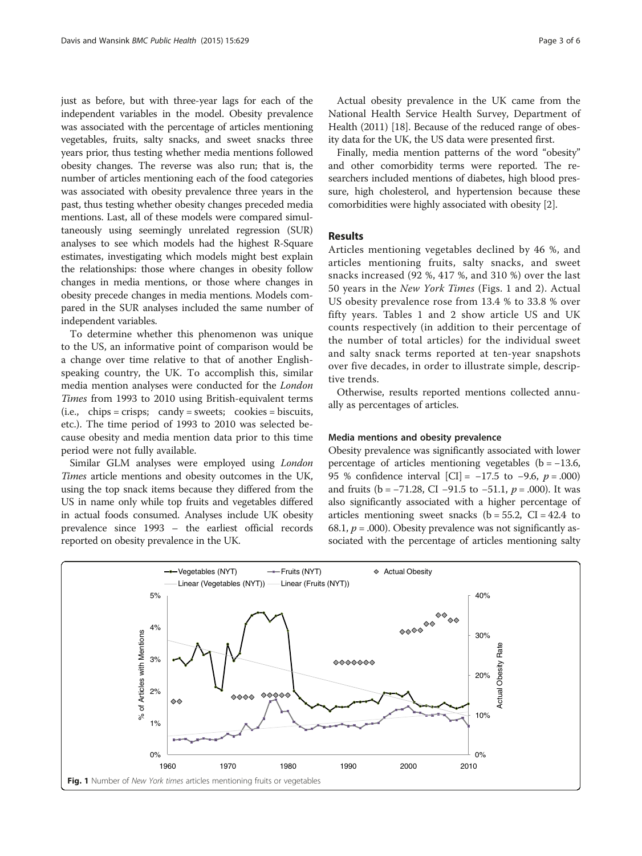just as before, but with three-year lags for each of the independent variables in the model. Obesity prevalence was associated with the percentage of articles mentioning vegetables, fruits, salty snacks, and sweet snacks three years prior, thus testing whether media mentions followed obesity changes. The reverse was also run; that is, the number of articles mentioning each of the food categories was associated with obesity prevalence three years in the past, thus testing whether obesity changes preceded media mentions. Last, all of these models were compared simultaneously using seemingly unrelated regression (SUR) analyses to see which models had the highest R-Square estimates, investigating which models might best explain the relationships: those where changes in obesity follow changes in media mentions, or those where changes in obesity precede changes in media mentions. Models compared in the SUR analyses included the same number of independent variables.

To determine whether this phenomenon was unique to the US, an informative point of comparison would be a change over time relative to that of another Englishspeaking country, the UK. To accomplish this, similar media mention analyses were conducted for the London Times from 1993 to 2010 using British-equivalent terms (i.e., chips = crisps; candy = sweets; cookies = biscuits, etc.). The time period of 1993 to 2010 was selected because obesity and media mention data prior to this time period were not fully available.

Similar GLM analyses were employed using London Times article mentions and obesity outcomes in the UK, using the top snack items because they differed from the US in name only while top fruits and vegetables differed in actual foods consumed. Analyses include UK obesity prevalence since 1993 – the earliest official records reported on obesity prevalence in the UK.

Actual obesity prevalence in the UK came from the National Health Service Health Survey, Department of Health (2011) [\[18\]](#page-5-0). Because of the reduced range of obesity data for the UK, the US data were presented first.

Finally, media mention patterns of the word "obesity" and other comorbidity terms were reported. The researchers included mentions of diabetes, high blood pressure, high cholesterol, and hypertension because these comorbidities were highly associated with obesity [\[2](#page-5-0)].

# Results

Articles mentioning vegetables declined by 46 %, and articles mentioning fruits, salty snacks, and sweet snacks increased (92 %, 417 %, and 310 %) over the last 50 years in the New York Times (Figs. 1 and [2](#page-3-0)). Actual US obesity prevalence rose from 13.4 % to 33.8 % over fifty years. Tables [1](#page-3-0) and [2](#page-4-0) show article US and UK counts respectively (in addition to their percentage of the number of total articles) for the individual sweet and salty snack terms reported at ten-year snapshots over five decades, in order to illustrate simple, descriptive trends.

Otherwise, results reported mentions collected annually as percentages of articles.

# Media mentions and obesity prevalence

Obesity prevalence was significantly associated with lower percentage of articles mentioning vegetables ( $b = -13.6$ , 95 % confidence interval  $|CI| = -17.5$  to  $-9.6$ ,  $p = .000$ ) and fruits ( $b = -71.28$ , CI −91.5 to −51.1,  $p = .000$ ). It was also significantly associated with a higher percentage of articles mentioning sweet snacks ( $b = 55.2$ , CI = 42.4 to 68.1,  $p = .000$ ). Obesity prevalence was not significantly associated with the percentage of articles mentioning salty

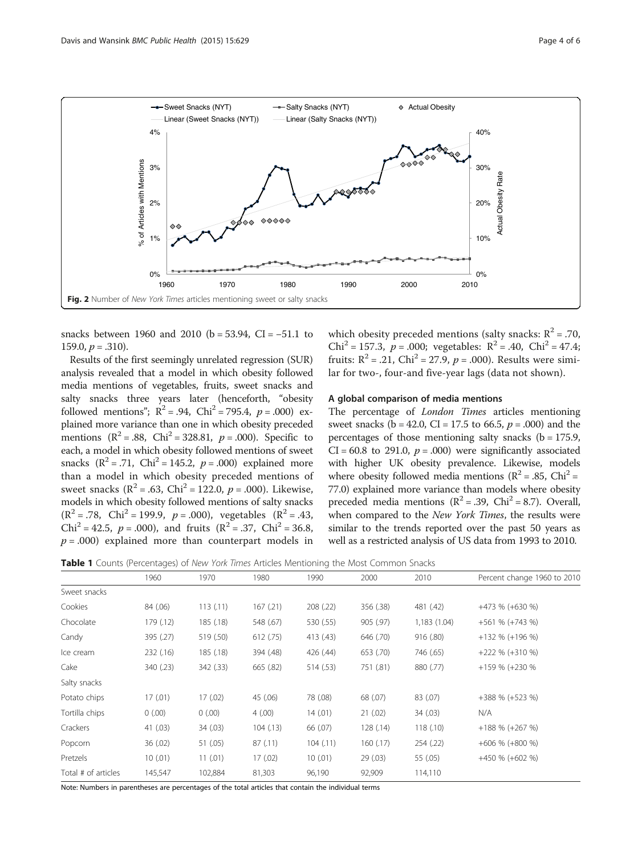<span id="page-3-0"></span>

snacks between 1960 and 2010 ( $b = 53.94$ , CI = -51.1 to 159.0,  $p = .310$ ).

Results of the first seemingly unrelated regression (SUR) analysis revealed that a model in which obesity followed media mentions of vegetables, fruits, sweet snacks and salty snacks three years later (henceforth, "obesity followed mentions";  $R^2 = .94$ ,  $Chi^2 = 795.4$ ,  $p = .000$ ) explained more variance than one in which obesity preceded mentions  $(R^2 = .88, Chi^2 = 328.81, p = .000)$ . Specific to each, a model in which obesity followed mentions of sweet snacks  $(R^2 = .71, Chi^2 = 145.2, p = .000)$  explained more than a model in which obesity preceded mentions of sweet snacks ( $R^2 = .63$ , Chi<sup>2</sup> = 122.0,  $p = .000$ ). Likewise, models in which obesity followed mentions of salty snacks  $(R^{2} = .78, \text{ Chi}^{2} = 199.9, p = .000), \text{ vegetables } (R^{2} = .43,$  $Chi^2 = 42.5$ ,  $p = .000$ , and fruits  $(R^2 = .37, Chi^2 = 36.8,$  $p = .000$ ) explained more than counterpart models in which obesity preceded mentions (salty snacks:  $R^2 = .70$ , Chi<sup>2</sup> = 157.3,  $p = .000$ ; vegetables:  $R^2 = .40$ , Chi<sup>2</sup> = 47.4; fruits:  $R^2 = .21$ , Chi<sup>2</sup> = 27.9, p = .000). Results were similar for two-, four-and five-year lags (data not shown).

#### A global comparison of media mentions

The percentage of *London Times* articles mentioning sweet snacks ( $b = 42.0$ , CI = 17.5 to 66.5,  $p = .000$ ) and the percentages of those mentioning salty snacks  $(b = 175.9,$  $CI = 60.8$  to 291.0,  $p = .000$ ) were significantly associated with higher UK obesity prevalence. Likewise, models where obesity followed media mentions ( $R^2 = .85$ , Chi<sup>2</sup> = 77.0) explained more variance than models where obesity preceded media mentions  $(R^2 = .39, Chi^2 = 8.7)$ . Overall, when compared to the New York Times, the results were similar to the trends reported over the past 50 years as well as a restricted analysis of US data from 1993 to 2010.

Table 1 Counts (Percentages) of New York Times Articles Mentioning the Most Common Snacks

|                     | 1960      | 1970      | 1980      | 1990      | 2000      | 2010         | Percent change 1960 to 2010 |
|---------------------|-----------|-----------|-----------|-----------|-----------|--------------|-----------------------------|
| Sweet snacks        |           |           |           |           |           |              |                             |
| Cookies             | 84 (.06)  | 113(.11)  | 167(0.21) | 208 (.22) | 356 (.38) | 481 (.42)    | +473 % (+630 %)             |
| Chocolate           | 179 (.12) | 185 (.18) | 548 (.67) | 530 (.55) | 905 (.97) | 1,183 (1.04) | $+561% (+743%)$             |
| Candy               | 395 (.27) | 519 (.50) | 612 (.75) | 413 (.43) | 646 (.70) | 916 (.80)    | $+132$ % ( $+196$ %)        |
| Ice cream           | 232 (.16) | 185 (.18) | 394 (.48) | 426 (.44) | 653 (.70) | 746 (.65)    | $+222$ % ( $+310$ %)        |
| Cake                | 340 (.23) | 342 (.33) | 665 (.82) | 514 (.53) | 751 (.81) | 880 (.77)    | +159 % (+230 %              |
| Salty snacks        |           |           |           |           |           |              |                             |
| Potato chips        | 17(01)    | 17(02)    | 45 (.06)  | 78 (.08)  | 68 (.07)  | 83 (.07)     | $+388$ % ( $+523$ %)        |
| Tortilla chips      | 0(.00)    | (0.00)    | 4(.00)    | 14(01)    | 21(.02)   | 34 (.03)     | N/A                         |
| Crackers            | 41(.03)   | 34 (.03)  | 104(.13)  | 66 (.07)  | 128(.14)  | 118(.10)     | $+188$ % ( $+267$ %)        |
| Popcorn             | 36 (.02)  | 51 (.05)  | 87(.11)   | 104(.11)  | 160(.17)  | 254 (.22)    | $+606$ % ( $+800$ %)        |
| Pretzels            | 10(.01)   | 11(.01)   | 17(02)    | 10(.01)   | 29 (.03)  | 55 (.05)     | $+450 \% (+602 \%)$         |
| Total # of articles | 145,547   | 102,884   | 81,303    | 96,190    | 92,909    | 114,110      |                             |

Note: Numbers in parentheses are percentages of the total articles that contain the individual terms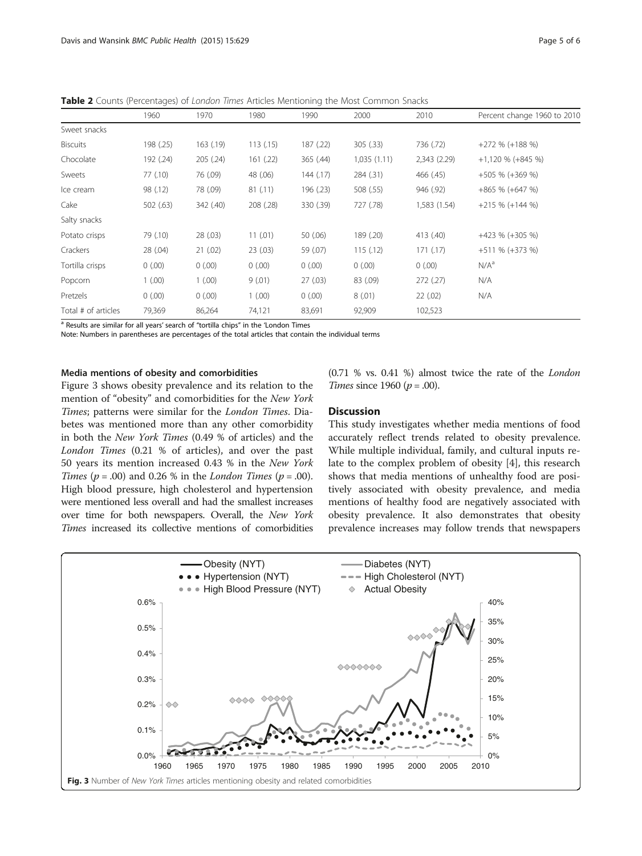|                     | 1960      | 1970      | 1980      | 1990      | 2000        | 2010         | Percent change 1960 to 2010 |
|---------------------|-----------|-----------|-----------|-----------|-------------|--------------|-----------------------------|
| Sweet snacks        |           |           |           |           |             |              |                             |
| <b>Biscuits</b>     | 198 (.25) | 163 (.19) | 113(.15)  | 187 (.22) | 305 (.33)   | 736 (.72)    | $+272$ % ( $+188$ %)        |
| Chocolate           | 192 (.24) | 205(.24)  | 161(.22)  | 365 (.44) | 1,035(1.11) | 2,343 (2.29) | $+1,120\%$ (+845 %)         |
| Sweets              | 77 (.10)  | 76 (.09)  | 48 (.06)  | 144(0.17) | 284 (.31)   | 466 (.45)    | $+505$ % ( $+369$ %)        |
| Ice cream           | 98 (.12)  | 78 (.09)  | 81(.11)   | 196 (.23) | 508 (.55)   | 946 (.92)    | $+865$ % ( $+647$ %)        |
| Cake                | 502 (.63) | 342 (.40) | 208 (.28) | 330 (.39) | 727 (.78)   | 1,583 (1.54) | $+215 \% (+144 \%)$         |
| Salty snacks        |           |           |           |           |             |              |                             |
| Potato crisps       | 79 (.10)  | 28 (.03)  | 11(.01)   | 50 (.06)  | 189 (.20)   | 413 (.40)    | $+423$ % ( $+305$ %)        |
| Crackers            | 28 (.04)  | 21(.02)   | 23(.03)   | 59 (.07)  | 115(.12)    | 171(.17)     | $+511% (+373%)$             |
| Tortilla crisps     | 0(.00)    | 0(.00)    | 0(.00)    | (00.00)   | 0(.00)      | 0(.00)       | $N/A^a$                     |
| Popcorn             | 1(.00)    | 1(.00)    | 9(0.01)   | 27(03)    | 83 (.09)    | 272 (.27)    | N/A                         |
| Pretzels            | 0(.00)    | 0(.00)    | 1(.00)    | 0(.00)    | 8(.01)      | 22(.02)      | N/A                         |
| Total # of articles | 79,369    | 86,264    | 74,121    | 83,691    | 92,909      | 102,523      |                             |

<span id="page-4-0"></span>Table 2 Counts (Percentages) of London Times Articles Mentioning the Most Common Snacks

<sup>a</sup> Results are similar for all years' search of "tortilla chips" in the 'London Times

Note: Numbers in parentheses are percentages of the total articles that contain the individual terms

# Media mentions of obesity and comorbidities

Figure 3 shows obesity prevalence and its relation to the mention of "obesity" and comorbidities for the New York Times; patterns were similar for the London Times. Diabetes was mentioned more than any other comorbidity in both the New York Times (0.49 % of articles) and the London Times (0.21 % of articles), and over the past 50 years its mention increased 0.43 % in the New York *Times* ( $p = .00$ ) and 0.26 % in the *London Times* ( $p = .00$ ). High blood pressure, high cholesterol and hypertension were mentioned less overall and had the smallest increases over time for both newspapers. Overall, the New York Times increased its collective mentions of comorbidities (0.71 % vs. 0.41 %) almost twice the rate of the London *Times* since 1960 ( $p = .00$ ).

# **Discussion**

This study investigates whether media mentions of food accurately reflect trends related to obesity prevalence. While multiple individual, family, and cultural inputs relate to the complex problem of obesity [[4\]](#page-5-0), this research shows that media mentions of unhealthy food are positively associated with obesity prevalence, and media mentions of healthy food are negatively associated with obesity prevalence. It also demonstrates that obesity prevalence increases may follow trends that newspapers